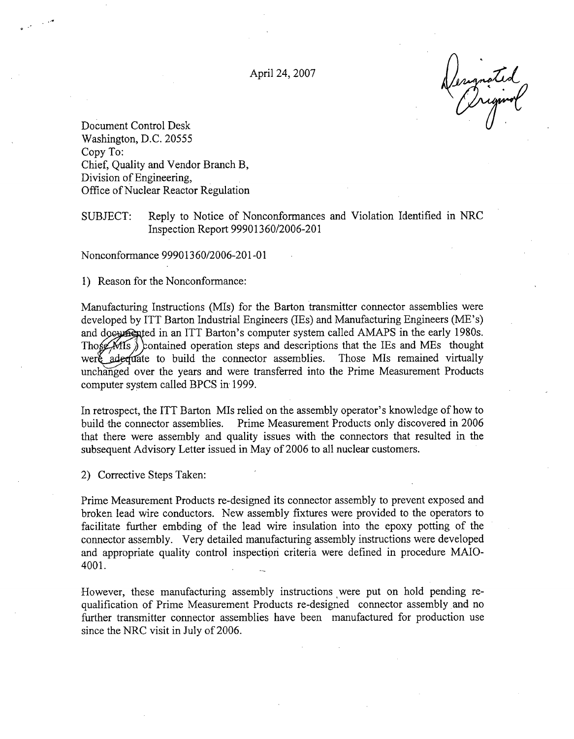April 24, 2007  $\sqrt{2}$ 

Document Control Desk Washington, D.C. 20555 Copy To: Chief, Quality and Vendor Branch B, Division of Engineering, Office of Nuclear Reactor Regulation

• .4'

SUBJECT: Reply to Notice of Nonconformances and Violation Identified in NRC Inspection Report 99901360/2006-201

Nonconformance 99901360/2006-201-01

1) Reason for the Nonconformance:

Manufacturing Instructions (MIs) for the Barton transmitter connector assemblies were developed by ITT Barton Industrial Engineers (IEs) and Manufacturing Engineers (ME's) and documented in an ITT Barton's computer system called AMAPS in the early 1980s. Those  $MIS$ ) contained operation steps and descriptions that the IEs and MEs thought were adequate to build the connector assemblies. Those MIs remained virtually unchanged over the years and were transferred into the Prime Measurement Products computer system called BPCS in 1999.

In retrospect, the ITT Barton MIs relied on the assembly operator's knowledge of how to build the connector assemblies. Prime Measurement Products only discovered in 2006 that there were assembly and quality issues with the connectors that resulted in the subsequent Advisory Letter issued in May of 2006 to all nuclear customers.

2) Corrective Steps Taken:

Prime Measurement Products re-designed its connector assembly to prevent exposed and broken lead wire conductors. New assembly fixtures were provided to the operators to facilitate further embding of the lead wire insulation into the epoxy potting of the connector assembly. Very detailed manufacturing assembly instructions were developed and appropriate quality control inspection criteria were defined in procedure MAIO-4001.

However, these manufacturing assembly instructions were put on hold pending requalification of Prime Measurement Products re-designed connector assembly and no further transmitter connector assemblies have been manufactured for production use since the NRC visit in July of 2006.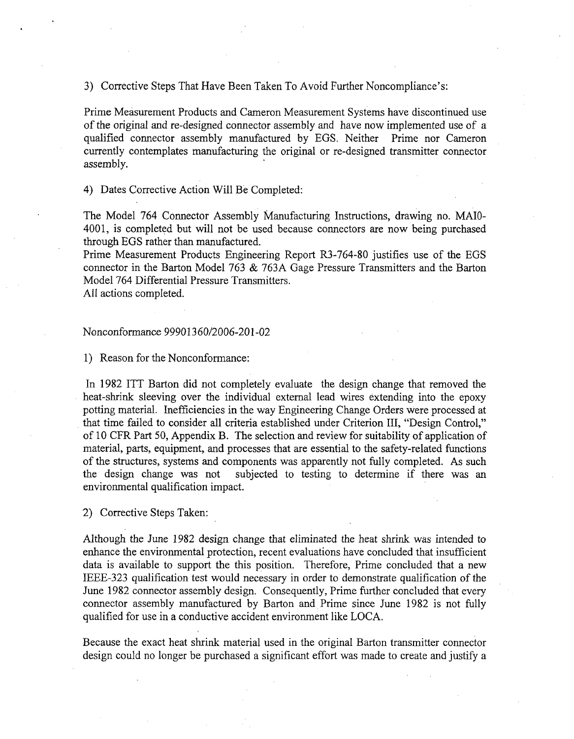3) Corrective Steps That Have Been Taken To Avoid Further Noncompliance's:

Prime Measurement Products and Cameron Measurement Systems have discontinued use of the original and re-designed connector assembly and have now implemented use of a qualified connector assembly manufactured by EGS. Neither Prime nor Cameron currently contemplates manufacturing the original or re-designed transmitter connector assembly.

4) Dates Corrective Action Will Be Completed:

The Model 764 Connector Assembly Manufacturing Instructions, drawing no. MAIO-4001, is completed but will not be used because connectors are now being purchased through EGS rather than manufactured.

Prime Measurement Products Engineering Report R3-764-80 justifies use of the EGS connector in the Barton Model 763 & 763A Gage Pressure Transmitters and the Barton Model 764 Differential Pressure Transmitters.

All actions completed.

#### Nonconformance 99901360/2006-201-02

1) Reason for the Nonconformance:

In 1982 ITT Barton did not completely evaluate the design change that removed the heat-shrink sleeving over the individual external lead wires extending into the epoxy potting material. Inefficiencies in the way Engineering Change Orders were processed at that time failed to consider all criteria established under Criterion III, "Design Control," of 10 CFR Part 50, Appendix B. The selection and review for suitability of application of material, parts, equipment, and processes that are essential to the safety-related functions of the structures, systems and components was apparently not fully completed. As such the design change was not subjected to testing to determine if there was an environmental qualification impact.

2) Corrective Steps Taken:

Although the June 1982 design change that eliminated the heat shrink was intended to enhance the environmental protection, recent evaluations have concluded that insufficient data is available to support the this position. Therefore, Prime concluded that a new IEEE-323 qualification test would necessary in order to demonstrate qualification of the June 1982 connector assembly design. Consequently, Prime further concluded that every connector assembly manufactured by Barton and Prime since June 1982 is not fully qualified for use in a conductive accident environment like LOCA.

Because the exact heat shrink material used in the original Barton transmitter connector design could no longer be purchased a significant effort was made to create and justify a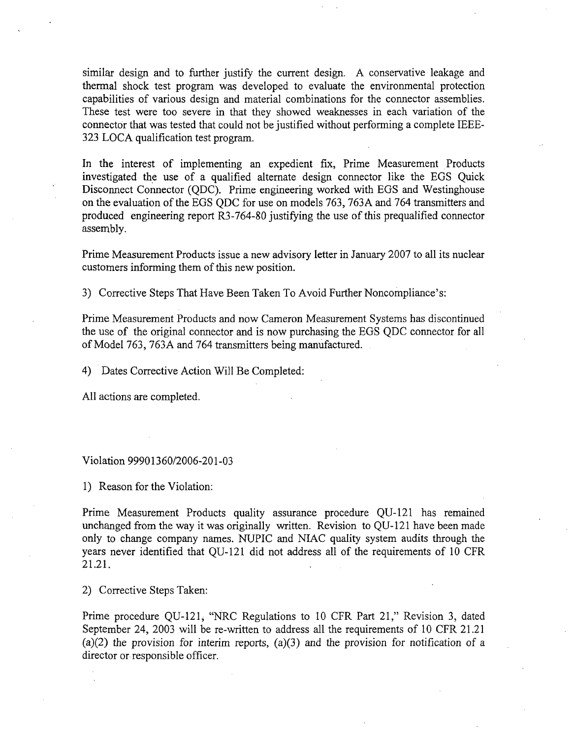similar design and to further justify the current design. A conservative leakage and thermal shock test program was developed to evaluate the environmental protection capabilities of various design and material combinations for the connector assemblies. These test were too severe in that they showed weaknesses in each variation of the connector that was tested that could not be justified without performing a complete IEEE-323 LOCA qualification test program.

In the interest of implementing an expedient fix, Prime Measurement Products investigated the use of a qualified alternate design connector like the EGS Quick Disconnect Connector (QDC). Prime engineering worked with EGS and Westinghouse on the evaluation of the EGS QDC for use on models 763, 763A and 764 transmitters and produced engineering report R3-764-80 justifying the use of this prequalified connector assembly.

Prime Measurement Products issue a new advisory letter in January 2007 to all its nuclear customers informing them of this new position.

3) Corrective Steps That Have Been Taken To Avoid Further Noncompliance's:

Prime Measurement Products and now Cameron Measurement Systems has discontinued the use of the original connector and is now purchasing the EGS QDC connector for all of Model 763, 763A and 764 transmitters being manufactured.

4) Dates Corrective Action Will Be Completed:

All actions are completed.

#### Violation 99901360/2006-201-03

1) Reason for the Violation:

Prime Measurement Products quality assurance procedure QU-121 has remained unchanged from the way it was originally written. Revision to QU-121 have been made only to change company names. NUPIC and NIAC quality system audits through the years never identified that QU-121 did not address all of the requirements of 10 CFR 21.21.

2) Corrective Steps Taken:

Prime procedure QU-121, "NRC Regulations to 10 CFR Part 21," Revision 3, dated September 24, 2003 will be re-written to address all the requirements of 10 CFR 21.21 (a)(2) the provision for interim reports, (a)(3) and the provision for notification of a director or responsible officer.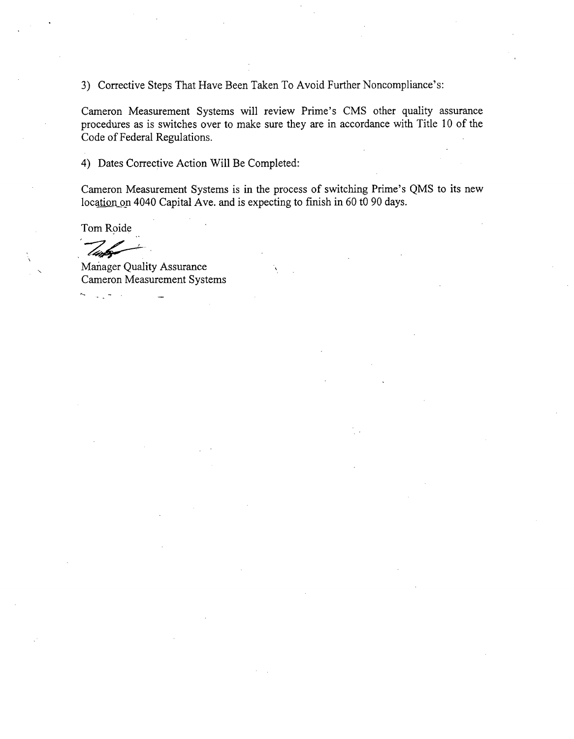3) Corrective Steps That Have Been Taken To Avoid Further Noncompliance's:

Cameron Measurement Systems will review Prime's CMS other quality assurance procedures as is switches over to make sure they are in accordance with Title 10 of the Code of Federal Regulations.

4) Dates Corrective Action Will Be Completed:

Cameron Measurement Systems is in the process of switching Prime's QMS to its new location on 4040 Capital Ave. and is expecting to finish in 60 t0 90 days.

Tom Roide

Manager Quality Assurance Cameron Measurement Systems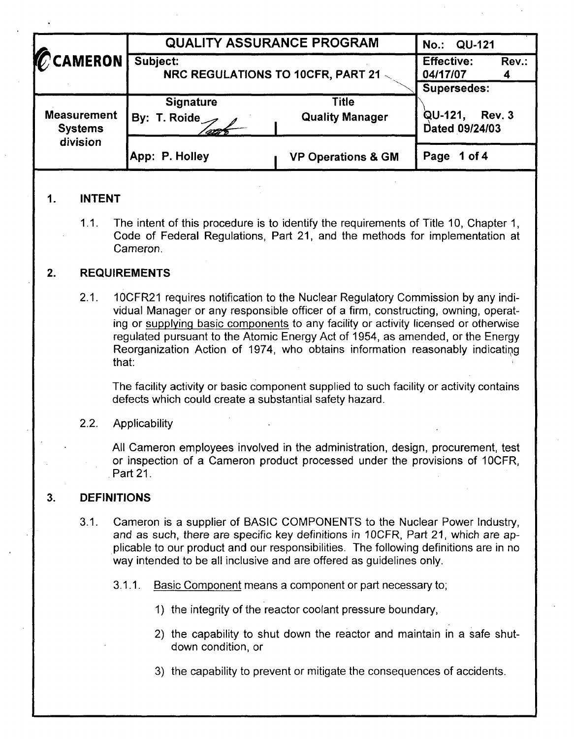| <b>CCAMERON</b>                                  | <b>QUALITY ASSURANCE PROGRAM</b>              | No.: QU-121                            |                                     |  |  |
|--------------------------------------------------|-----------------------------------------------|----------------------------------------|-------------------------------------|--|--|
|                                                  | Subject:<br>NRC REGULATIONS TO 10CFR, PART 21 | <b>Effective:</b><br>Rev.:<br>04/17/07 |                                     |  |  |
|                                                  |                                               |                                        | <b>Supersedes:</b>                  |  |  |
| <b>Measurement</b><br><b>Systems</b><br>division | <b>Signature</b><br>By: T. Roide              | Title<br><b>Quality Manager</b>        | QU-121,<br>Rev. 3<br>Dated 09/24/03 |  |  |
|                                                  | App: P. Holley                                | <b>VP Operations &amp; GM</b>          | Page<br>1 of $4$                    |  |  |

# **1. INTENT**

1.1. The intent of this procedure is to identify the requirements of Title 10, Chapter 1, Code of Federal Regulations, Part 21, and the methods for implementation at Cameron.

## 2. **REQUIREMENTS**

2.1. 10CFR21 requires notification to the Nuclear Regulatory Commission by any individual Manager or any responsible officer of a firm, constructing, owning, operating or supplying basic components to any facility or activity licensed or otherwise regulated pursuant to the Atomic Energy Act of 1954, as amended, or the Energy Reorganization Action of 1974, who obtains information reasonably indicating that:

The facility activity or basic component supplied to such facility or activity contains defects which could create a substantial safety hazard.

## 2.2. Applicability

All Cameron employees involved in the administration, design, procurement, test or inspection of a Cameron product processed under the provisions of 10CFR, Part 21.

#### **3. DEFINITIONS**

- 3.1. Cameron is a supplier of BASIC COMPONENTS to the Nuclear Power Industry, and as such, there are specific key definitions in 10CFR, Part 21, which are applicable to our product and our responsibilities. The following definitions are in no way intended to be all inclusive and are offered as guidelines only.
	- 3.1.1. Basic Component means a component or part necessary to;
		- 1) the integrity of the reactor coolant pressure boundary,
		- 2) the capability to shut down the reactor and maintain in a safe shutdown condition, or
		- 3) the capability to prevent or mitigate the consequences of accidents.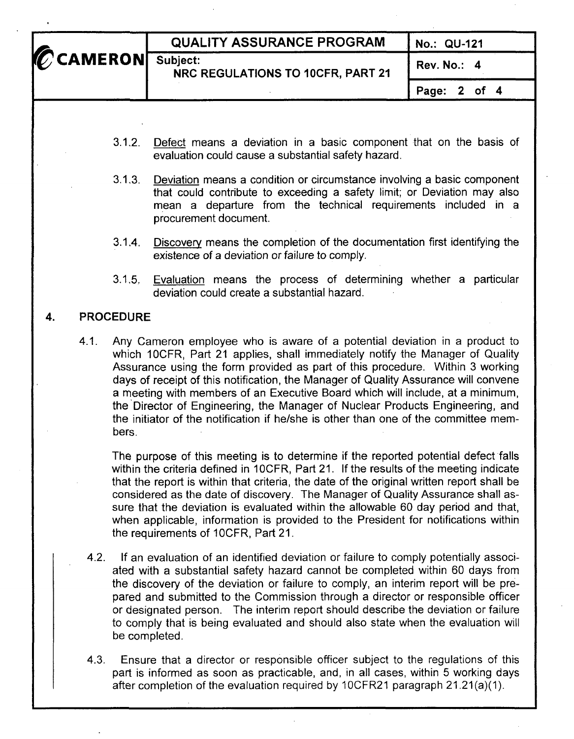|                   | <b>QUALITY ASSURANCE PROGRAM</b>  | No.: QU-121      |  |
|-------------------|-----------------------------------|------------------|--|
| CCAMERON Subject: | NRC REGULATIONS TO 10CFR, PART 21 | Rev. No.: 4      |  |
|                   |                                   | Page: $2$ of $4$ |  |
|                   |                                   |                  |  |

- **3.12.** Defect means a deviation in a basic component that on the basis of evaluation could cause a substantial safety hazard.
- 3.1,3. Deviation means a condition or circumstance involving a basic component that could contribute to exceeding a safety limit; or Deviation may also mean a departure from the technical requirements included in a procurement document.
- 3.1.4. Discovery means the completion of the documentation first identifying the existence of a deviation or failure to comply.
- **3.1.5.** Evaluation means the process of determining whether a particular deviation could create a substantial hazard.

# 4. PROCEDURE

4.1. Any Cameron employee who is aware of a potential deviation in a product to which 10CFR. Part 21 applies, shall immediately notify the Manager of Quality Assurance using the form provided as part of this procedure. Within 3 working days of receipt of this notification, the Manager of Quality Assurance will convene a meeting with members of an Executive Board which will include, at a minimum, the Director of Engineering, the Manager of Nuclear Products Engineering, and the initiator of the notification if he/she is other than one of the committee members.

The purpose of this meeting is to determine if the reported potential defect falls within the criteria defined in 10CFR, Part 21. If the results of the meeting indicate that the report is within that criteria, the date of the original written report shall be considered as the date of discovery. The Manager of Quality Assurance shall assure that the deviation is evaluated within the allowable 60 day period and that, when applicable, information is provided to the President for notifications within the requirements of 10CFR, Part 21.

- 4.2. If an evaluation of an identified deviation or failure to comply potentially associated with a substantial safety hazard cannot be completed within 60 days from the discovery of the deviation or failure to comply, an interim report will be prepared and submitted to the Commission through a director or responsible officer or designated person. The interim report should describe the deviation or failure to comply that is being evaluated and should also state when the evaluation will be completed.
- 4.3. Ensure that a director or responsible officer subject to the regulations of this part is informed as soon as practicable, and, in all cases, within 5 working days after completion of the evaluation required by 1OCFR21 paragraph 21.21(a)(1).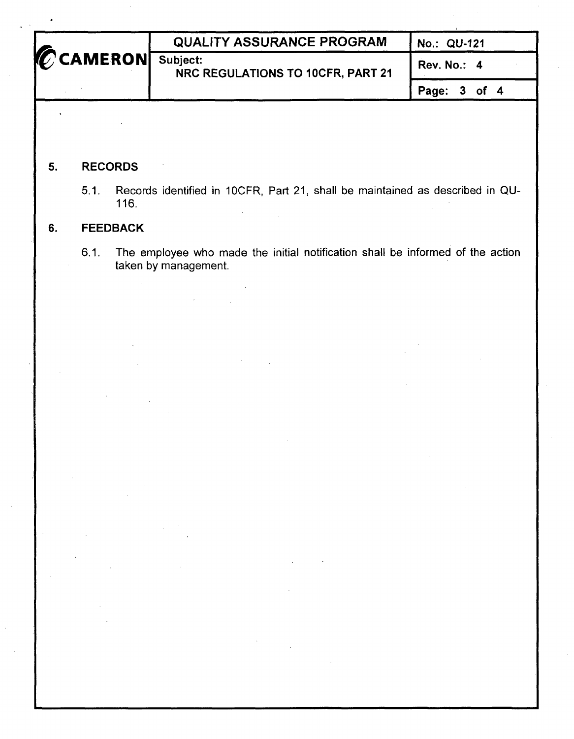| CAMERON Subject: | <b>QUALITY ASSURANCE PROGRAM</b>  | No.: QU-121      |  |
|------------------|-----------------------------------|------------------|--|
|                  | NRC REGULATIONS TO 10CFR, PART 21 | Rev. No.: 4      |  |
|                  |                                   | Page: $3$ of $4$ |  |

# **5.** RECORDS

5.1. Records identified in 10CFR, Part 21, shall be maintained as described in QU-116.

# **6.** FEEDBACK

 $\mathcal{L}$ 

6.1. The employee who made the initial notification shall be informed of the action taken by management.